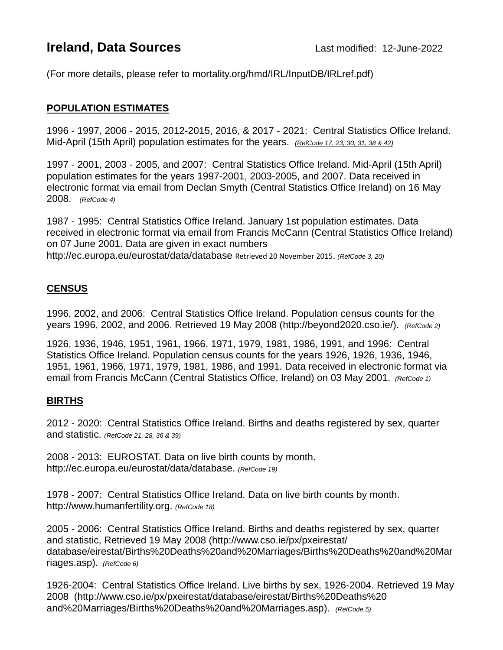# **Ireland, Data Sources Last modified: 12-June-2022**

(For more details, please refer to mortality.org/hmd/IRL/InputDB/IRLref.pdf)

## **POPULATION ESTIMATES**

1996 - 1997, 2006 - 2015, 2012-2015, 2016, & 2017 - 2021: Central Statistics Office Ireland. Mid-April (15th April) population estimates for the years. *(RefCode 17, 23, 30, 31, 38 & 42)*

1997 - 2001, 2003 - 2005, and 2007: Central Statistics Office Ireland. Mid-April (15th April) population estimates for the years 1997-2001, 2003-2005, and 2007. Data received in electronic format via email from Declan Smyth (Central Statistics Office Ireland) on 16 May 2008. *(RefCode 4)*

1987 - 1995: Central Statistics Office Ireland. January 1st population estimates. Data received in electronic format via email from Francis McCann (Central Statistics Office Ireland) on 07 June 2001. Data are given in exact numbers <http://ec.europa.eu/eurostat/data/database> Retrieved 20 November 2015. *(RefCode 3, 20)*

# **CENSUS**

1996, 2002, and 2006: Central Statistics Office Ireland. Population census counts for the years 1996, 2002, and 2006. Retrieved 19 May 2008 [\(http://beyond2020.cso.ie/\)](http://beyond2020.cso.ie/). *(RefCode 2)*

1926, 1936, 1946, 1951, 1961, 1966, 1971, 1979, 1981, 1986, 1991, and 1996: Central Statistics Office Ireland. Population census counts for the years 1926, 1926, 1936, 1946, 1951, 1961, 1966, 1971, 1979, 1981, 1986, and 1991. Data received in electronic format via email from Francis McCann (Central Statistics Office, Ireland) on 03 May 2001. *(RefCode 1)*

#### **BIRTHS**

2012 - 2020: Central Statistics Office Ireland. Births and deaths registered by sex, quarter and statistic. *(RefCode 21, 28, 36 & 39)*

2008 - 2013: EUROSTAT. Data on live birth counts by month. [http://ec.europa.eu/eurostat/data/database.](http://ec.europa.eu/eurostat/data/database) *(RefCode 19)*

1978 - 2007: Central Statistics Office Ireland. Data on live birth counts by month. [http://www.humanfertility.org.](http://www.humanfertility.org/) *(RefCode 18)*

2005 - 2006: Central Statistics Office Ireland. Births and deaths registered by sex, quarter and statistic, Retrieved 19 May 2008 [\(http://www.cso.ie/px/pxeirestat/](http://www.cso.ie/px/pxeirestat/%20database/eirestat/Births%20Deaths%20and%20Marriages/Births%20Deaths%20and%20Marriages.asp)  [database/eirestat/Births%20Deaths%20and%20Marriages/Births%20Deaths%20and%20Mar](http://www.cso.ie/px/pxeirestat/%20database/eirestat/Births%20Deaths%20and%20Marriages/Births%20Deaths%20and%20Marriages.asp) [riages.asp\)](http://www.cso.ie/px/pxeirestat/%20database/eirestat/Births%20Deaths%20and%20Marriages/Births%20Deaths%20and%20Marriages.asp). *(RefCode 6)*

1926-2004: Central Statistics Office Ireland. Live births by sex, 1926-2004. Retrieved 19 May 2008 [\(http://www.cso.ie/px/pxeirestat/database/eirestat/Births%20Deaths%20](http://www.cso.ie/px/pxeirestat/database/eirestat/Births%20Deaths%20%20and%20Marriages/Births%20Deaths%20and%20Marriages.asp)  [and%20Marriages/Births%20Deaths%20and%20Marriages.asp\)](http://www.cso.ie/px/pxeirestat/database/eirestat/Births%20Deaths%20%20and%20Marriages/Births%20Deaths%20and%20Marriages.asp). *(RefCode 5)*